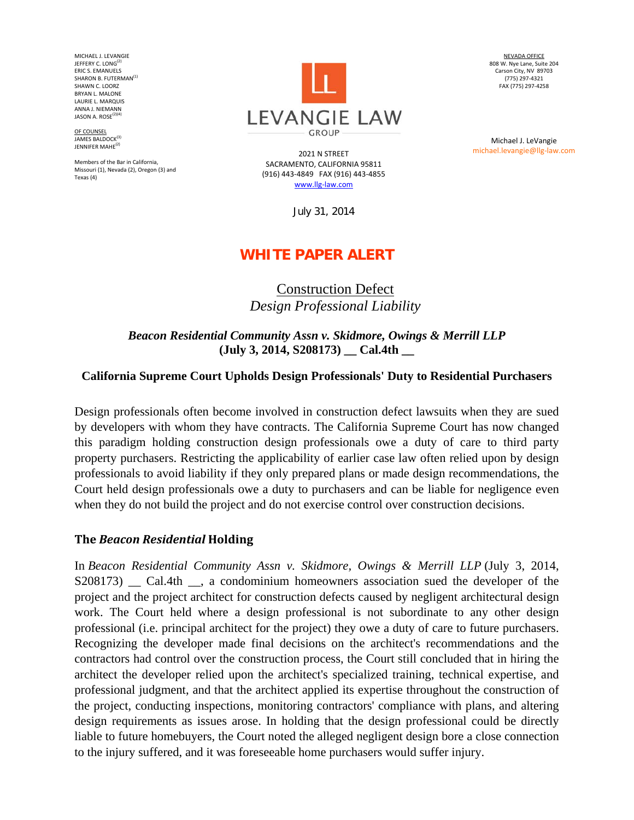MICHAEL J. LEVANGIE JEFFERY C. LONG<sup>(2</sup> ERIC S. EMANUELS SHARON B. FUTERMAN<sup>(1)</sup> SHAWN C. LOORZ BRYAN L. MALONE LAURIE L. MARQUIS ANNA J. NIEMANN JASON A. ROSE $(2)(4)$ 

OF COUNSEL JAMES BALDOCK<sup>(3)</sup> JENNIFER MAHF<sup>(2)</sup>

Members of the Bar in California, Missouri (1), Nevada (2), Oregon (3) and Texas (4)



2021 N STREET SACRAMENTO, CALIFORNIA 95811 (916) 443‐4849 FAX (916) 443‐4855 www.llg‐law.com

July 31, 2014

# **WHITE PAPER ALERT**

## Construction Defect *Design Professional Liability*

*Beacon Residential Community Assn v. Skidmore, Owings & Merrill LLP* **(July 3, 2014, S208173) \_\_ Cal.4th \_\_** 

#### **California Supreme Court Upholds Design Professionals' Duty to Residential Purchasers**

Design professionals often become involved in construction defect lawsuits when they are sued by developers with whom they have contracts. The California Supreme Court has now changed this paradigm holding construction design professionals owe a duty of care to third party property purchasers. Restricting the applicability of earlier case law often relied upon by design professionals to avoid liability if they only prepared plans or made design recommendations, the Court held design professionals owe a duty to purchasers and can be liable for negligence even when they do not build the project and do not exercise control over construction decisions.

#### **The** *Beacon Residential* **Holding**

In *Beacon Residential Community Assn v. Skidmore, Owings & Merrill LLP* (July 3, 2014, S208173) Cal.4th, a condominium homeowners association sued the developer of the project and the project architect for construction defects caused by negligent architectural design work. The Court held where a design professional is not subordinate to any other design professional (i.e. principal architect for the project) they owe a duty of care to future purchasers. Recognizing the developer made final decisions on the architect's recommendations and the contractors had control over the construction process, the Court still concluded that in hiring the architect the developer relied upon the architect's specialized training, technical expertise, and professional judgment, and that the architect applied its expertise throughout the construction of the project, conducting inspections, monitoring contractors' compliance with plans, and altering design requirements as issues arose. In holding that the design professional could be directly liable to future homebuyers, the Court noted the alleged negligent design bore a close connection to the injury suffered, and it was foreseeable home purchasers would suffer injury.

NEVADA OFFICE 808 W. Nye Lane, Suite 204 Carson City, NV 89703 (775) 297‐4321 FAX (775) 297‐4258

Michael J. LeVangie michael.levangie@llg‐law.com